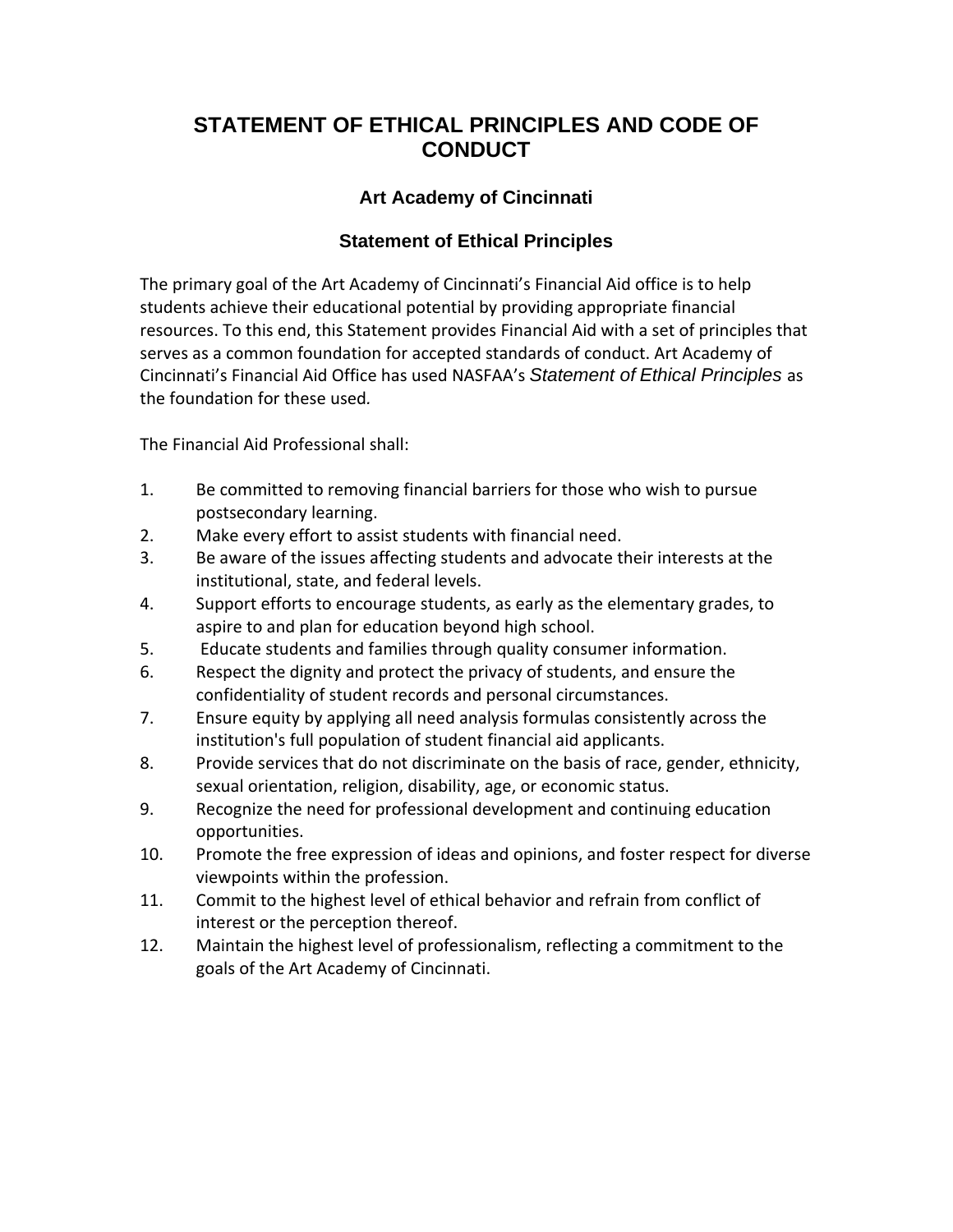## **STATEMENT OF ETHICAL PRINCIPLES AND CODE OF CONDUCT**

## **Art Academy of Cincinnati**

## **Statement of Ethical Principles**

The primary goal of the Art Academy of Cincinnati's Financial Aid office is to help students achieve their educational potential by providing appropriate financial resources. To this end, this Statement provides Financial Aid with a set of principles that serves as a common foundation for accepted standards of conduct. Art Academy of Cincinnati's Financial Aid Office has used NASFAA's *Statement of Ethical Principles* as the foundation for these used*.* 

The Financial Aid Professional shall:

- 1. Be committed to removing financial barriers for those who wish to pursue postsecondary learning.
- 2. Make every effort to assist students with financial need.
- 3. Be aware of the issues affecting students and advocate their interests at the institutional, state, and federal levels.
- 4. Support efforts to encourage students, as early as the elementary grades, to aspire to and plan for education beyond high school.
- 5. Educate students and families through quality consumer information.
- 6. Respect the dignity and protect the privacy of students, and ensure the confidentiality of student records and personal circumstances.
- 7. Ensure equity by applying all need analysis formulas consistently across the institution's full population of student financial aid applicants.
- 8. Provide services that do not discriminate on the basis of race, gender, ethnicity, sexual orientation, religion, disability, age, or economic status.
- 9. Recognize the need for professional development and continuing education opportunities.
- 10. Promote the free expression of ideas and opinions, and foster respect for diverse viewpoints within the profession.
- 11. Commit to the highest level of ethical behavior and refrain from conflict of interest or the perception thereof.
- 12. Maintain the highest level of professionalism, reflecting a commitment to the goals of the Art Academy of Cincinnati.